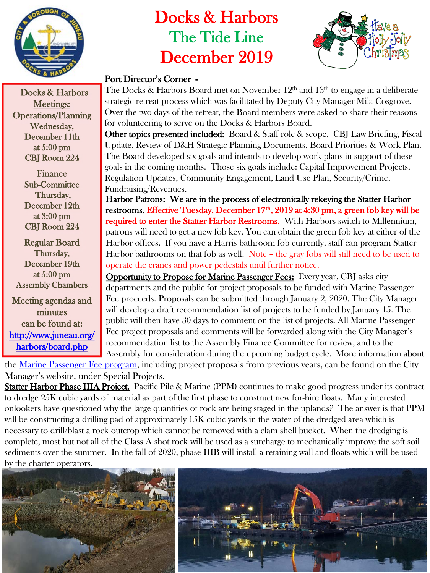

Docks & Harbors Meetings: Operations/Planning Wednesday, December 11th at 5:00 pm CBJ Room 224

> Finance Sub-Committee Thursday, December 12th at 3:00 pm CBJ Room 224

Regular Board Thursday, December 19th at 5:00 pm Assembly Chambers

Meeting agendas and minutes can be found at: [http://www.juneau.org/](http://www.juneau.org/harbors/board.php) [harbors/board.php](http://www.juneau.org/harbors/board.php)

# Docks & Harbors The Tide Line December 2019



### Port Director's Corner -

The Docks & Harbors Board met on November  $12<sup>th</sup>$  and  $13<sup>th</sup>$  to engage in a deliberate strategic retreat process which was facilitated by Deputy City Manager Mila Cosgrove. Over the two days of the retreat, the Board members were asked to share their reasons for volunteering to serve on the Docks & Harbors Board.

Other topics presented included: Board & Staff role & scope, CBJ Law Briefing, Fiscal Update, Review of D&H Strategic Planning Documents, Board Priorities & Work Plan. The Board developed six goals and intends to develop work plans in support of these goals in the coming months. Those six goals include: Capital Improvement Projects, Regulation Updates, Community Engagement, Land Use Plan, Security/Crime, Fundraising/Revenues.

Harbor Patrons: We are in the process of electronically rekeying the Statter Harbor restrooms. Effective Tuesday, December 17<sup>th</sup>, 2019 at 4:30 pm, a green fob key will be required to enter the Statter Harbor Restrooms. With Harbors switch to Millennium, patrons will need to get a new fob key. You can obtain the green fob key at either of the Harbor offices. If you have a Harris bathroom fob currently, staff can program Statter Harbor bathrooms on that fob as well. Note – the gray fobs will still need to be used to operate the cranes and power pedestals until further notice.

Opportunity to Propose for Marine Passenger Fees: Every year, CBJ asks city departments and the public for project proposals to be funded with Marine Passenger Fee proceeds. Proposals can be submitted through January 2, 2020. The City Manager will develop a draft recommendation list of projects to be funded by January 15. The public will then have 30 days to comment on the list of projects. All Marine Passenger Fee project proposals and comments will be forwarded along with the City Manager's recommendation list to the Assembly Finance Committee for review, and to the Assembly for consideration during the upcoming budget cycle. More information about

the [Marine Passenger Fee program](https://beta.juneau.org/manager/marine-passenger-fee-program), including project proposals from previous years, can be found on the City Manager's website, under Special Projects.

Statter Harbor Phase IIIA Project. Pacific Pile & Marine (PPM) continues to make good progress under its contract to dredge 25K cubic yards of material as part of the first phase to construct new for-hire floats. Many interested onlookers have questioned why the large quantities of rock are being staged in the uplands? The answer is that PPM will be constructing a drilling pad of approximately 15K cubic yards in the water of the dredged area which is necessary to drill/blast a rock outcrop which cannot be removed with a clam shell bucket. When the dredging is complete, most but not all of the Class A shot rock will be used as a surcharge to mechanically improve the soft soil sediments over the summer. In the fall of 2020, phase IIIB will install a retaining wall and floats which will be used by the charter operators.